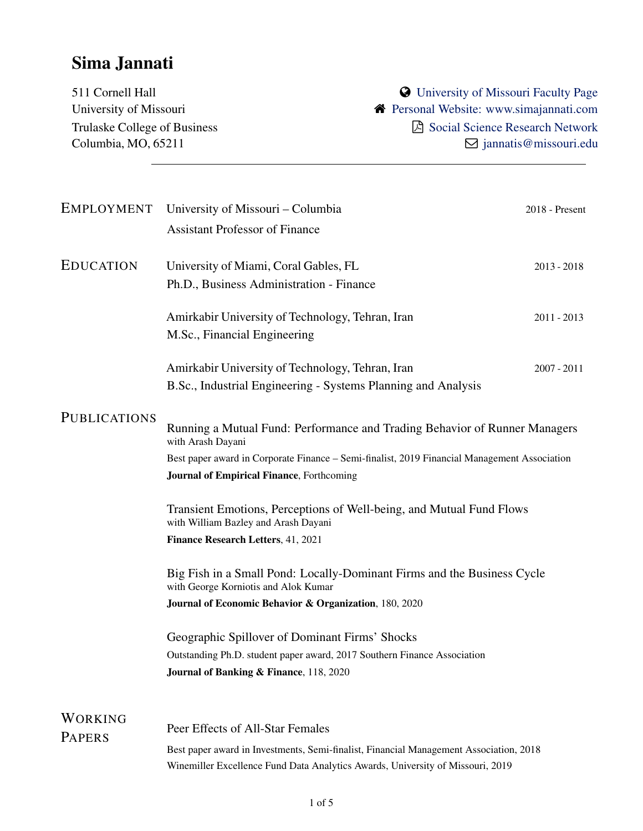# Sima Jannati

511 Cornell Hall **311 Cornell Hall 311 Cornell Hall** University of Missouri **A** [Personal Website: www.simajannati.com](https://business.missouri.edu/departments-faculty/people-directory/sima-jannati) Trulaske College of Business  $\Box$  [Social Science Research Network](https://papers.ssrn.com/sol3/cf_dev/AbsByAuth.cfm?per_id=2632690) Columbia, MO, 65211  $\Box$  <jannatis@missouri.edu>

|                                 | EMPLOYMENT University of Missouri - Columbia<br><b>Assistant Professor of Finance</b>                                                                                                                                                                | 2018 - Present |
|---------------------------------|------------------------------------------------------------------------------------------------------------------------------------------------------------------------------------------------------------------------------------------------------|----------------|
| <b>EDUCATION</b>                | University of Miami, Coral Gables, FL<br>Ph.D., Business Administration - Finance                                                                                                                                                                    | $2013 - 2018$  |
|                                 | Amirkabir University of Technology, Tehran, Iran<br>M.Sc., Financial Engineering                                                                                                                                                                     | $2011 - 2013$  |
|                                 | Amirkabir University of Technology, Tehran, Iran<br>B.Sc., Industrial Engineering - Systems Planning and Analysis                                                                                                                                    | $2007 - 2011$  |
| <b>PUBLICATIONS</b>             | Running a Mutual Fund: Performance and Trading Behavior of Runner Managers<br>with Arash Dayani<br>Best paper award in Corporate Finance - Semi-finalist, 2019 Financial Management Association<br><b>Journal of Empirical Finance</b> , Forthcoming |                |
|                                 | Transient Emotions, Perceptions of Well-being, and Mutual Fund Flows<br>with William Bazley and Arash Dayani                                                                                                                                         |                |
|                                 | Finance Research Letters, 41, 2021<br>Big Fish in a Small Pond: Locally-Dominant Firms and the Business Cycle<br>with George Korniotis and Alok Kumar<br>Journal of Economic Behavior & Organization, 180, 2020                                      |                |
|                                 | Geographic Spillover of Dominant Firms' Shocks<br>Outstanding Ph.D. student paper award, 2017 Southern Finance Association<br>Journal of Banking & Finance, 118, 2020                                                                                |                |
| <b>WORKING</b><br><b>PAPERS</b> | Peer Effects of All-Star Females<br>Best paper award in Investments, Semi-finalist, Financial Management Association, 2018<br>Winemiller Excellence Fund Data Analytics Awards, University of Missouri, 2019                                         |                |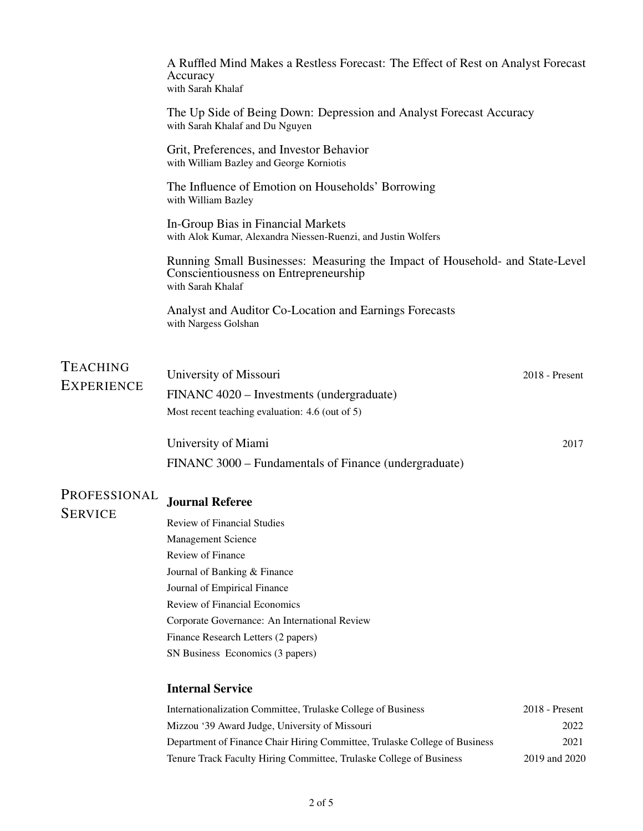|                                | A Ruffled Mind Makes a Restless Forecast: The Effect of Rest on Analyst Forecast<br>Accuracy<br>with Sarah Khalaf                          |                |
|--------------------------------|--------------------------------------------------------------------------------------------------------------------------------------------|----------------|
|                                | The Up Side of Being Down: Depression and Analyst Forecast Accuracy<br>with Sarah Khalaf and Du Nguyen                                     |                |
|                                | Grit, Preferences, and Investor Behavior<br>with William Bazley and George Korniotis                                                       |                |
|                                | The Influence of Emotion on Households' Borrowing<br>with William Bazley                                                                   |                |
|                                | In-Group Bias in Financial Markets<br>with Alok Kumar, Alexandra Niessen-Ruenzi, and Justin Wolfers                                        |                |
|                                | Running Small Businesses: Measuring the Impact of Household- and State-Level<br>Conscientiousness on Entrepreneurship<br>with Sarah Khalaf |                |
|                                | Analyst and Auditor Co-Location and Earnings Forecasts<br>with Nargess Golshan                                                             |                |
|                                |                                                                                                                                            |                |
| <b>TEACHING</b>                | University of Missouri                                                                                                                     | 2018 - Present |
| <b>EXPERIENCE</b>              | FINANC 4020 – Investments (undergraduate)                                                                                                  |                |
|                                | Most recent teaching evaluation: 4.6 (out of 5)                                                                                            |                |
|                                | University of Miami                                                                                                                        | 2017           |
|                                | FINANC 3000 – Fundamentals of Finance (undergraduate)                                                                                      |                |
| PROFESSIONAL<br><b>SERVICE</b> | <b>Journal Referee</b>                                                                                                                     |                |
|                                | Review of Financial Studies                                                                                                                |                |
|                                | <b>Management Science</b>                                                                                                                  |                |
|                                | Review of Finance                                                                                                                          |                |
|                                | Journal of Banking & Finance                                                                                                               |                |
|                                | Journal of Empirical Finance                                                                                                               |                |
|                                | <b>Review of Financial Economics</b>                                                                                                       |                |
|                                | Corporate Governance: An International Review                                                                                              |                |
|                                | Finance Research Letters (2 papers)                                                                                                        |                |
|                                | SN Business Economics (3 papers)                                                                                                           |                |
|                                | <b>Internal Service</b>                                                                                                                    |                |
|                                | Internationalization Committee, Trulaske College of Business                                                                               | 2018 - Present |

| Internationalization Committee, Trunaske Concee of Dusiness                | $2010 - 1103$ |
|----------------------------------------------------------------------------|---------------|
| Mizzou '39 Award Judge, University of Missouri                             | 2022          |
| Department of Finance Chair Hiring Committee, Trulaske College of Business | 2021          |
| Tenure Track Faculty Hiring Committee, Trulaske College of Business        | 2019 and 2020 |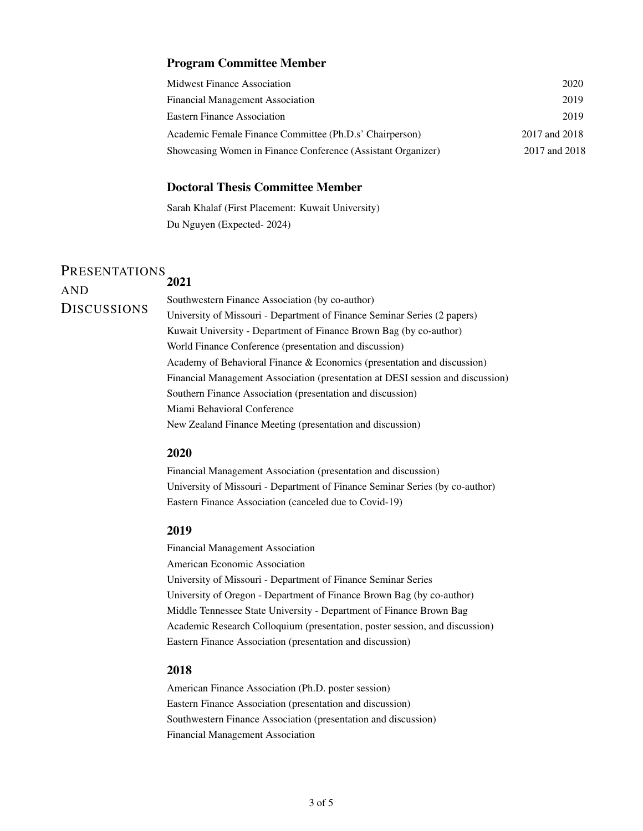## Program Committee Member

| Midwest Finance Association                                  | 2020          |
|--------------------------------------------------------------|---------------|
| Financial Management Association                             | 2019          |
| <b>Eastern Finance Association</b>                           | 2019          |
| Academic Female Finance Committee (Ph.D.s' Chairperson)      | 2017 and 2018 |
| Showcasing Women in Finance Conference (Assistant Organizer) | 2017 and 2018 |

# Doctoral Thesis Committee Member

Sarah Khalaf (First Placement: Kuwait University) Du Nguyen (Expected- 2024)

## PRESENTATIONS AND **DISCUSSIONS** 2021

Southwestern Finance Association (by co-author) University of Missouri - Department of Finance Seminar Series (2 papers) Kuwait University - Department of Finance Brown Bag (by co-author) World Finance Conference (presentation and discussion) Academy of Behavioral Finance & Economics (presentation and discussion) Financial Management Association (presentation at DESI session and discussion) Southern Finance Association (presentation and discussion) Miami Behavioral Conference New Zealand Finance Meeting (presentation and discussion)

### 2020

Financial Management Association (presentation and discussion) University of Missouri - Department of Finance Seminar Series (by co-author) Eastern Finance Association (canceled due to Covid-19)

## 2019

Financial Management Association American Economic Association University of Missouri - Department of Finance Seminar Series University of Oregon - Department of Finance Brown Bag (by co-author) Middle Tennessee State University - Department of Finance Brown Bag Academic Research Colloquium (presentation, poster session, and discussion) Eastern Finance Association (presentation and discussion)

### 2018

American Finance Association (Ph.D. poster session) Eastern Finance Association (presentation and discussion) Southwestern Finance Association (presentation and discussion) Financial Management Association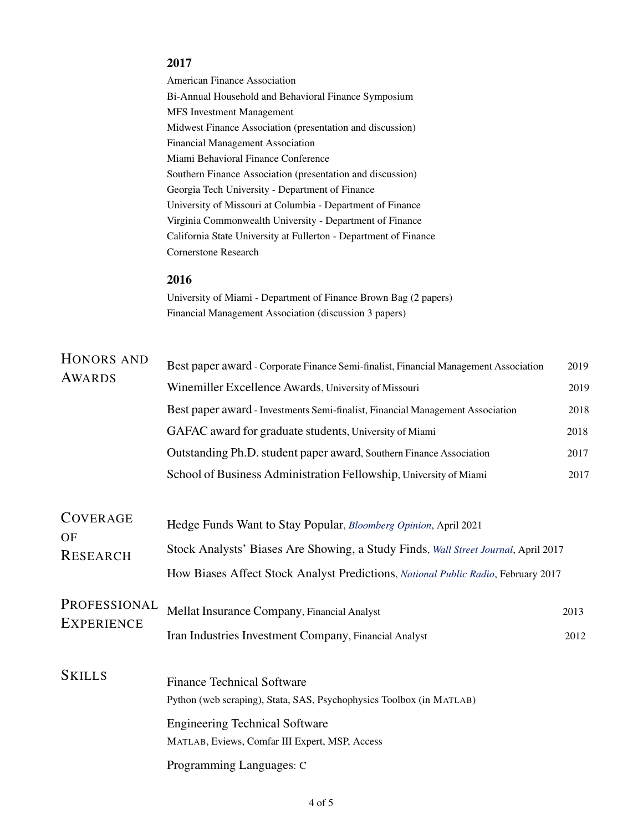# 2017

American Finance Association Bi-Annual Household and Behavioral Finance Symposium MFS Investment Management Midwest Finance Association (presentation and discussion) Financial Management Association Miami Behavioral Finance Conference Southern Finance Association (presentation and discussion) Georgia Tech University - Department of Finance University of Missouri at Columbia - Department of Finance Virginia Commonwealth University - Department of Finance California State University at Fullerton - Department of Finance Cornerstone Research

# 2016

University of Miami - Department of Finance Brown Bag (2 papers) Financial Management Association (discussion 3 papers)

| HONORS AND<br>AWARDS                     | Best paper award - Corporate Finance Semi-finalist, Financial Management Association | 2019 |  |
|------------------------------------------|--------------------------------------------------------------------------------------|------|--|
|                                          | Winemiller Excellence Awards, University of Missouri                                 | 2019 |  |
|                                          | Best paper award - Investments Semi-finalist, Financial Management Association       | 2018 |  |
|                                          | GAFAC award for graduate students, University of Miami                               | 2018 |  |
|                                          | Outstanding Ph.D. student paper award, Southern Finance Association                  | 2017 |  |
|                                          | School of Business Administration Fellowship, University of Miami                    | 2017 |  |
|                                          |                                                                                      |      |  |
| <b>COVERAGE</b><br>OF<br><b>RESEARCH</b> | Hedge Funds Want to Stay Popular, Bloomberg Opinion, April 2021                      |      |  |
|                                          | Stock Analysts' Biases Are Showing, a Study Finds, Wall Street Journal, April 2017   |      |  |
|                                          | How Biases Affect Stock Analyst Predictions, National Public Radio, February 2017    |      |  |
| PROFESSIONAL<br><b>EXPERIENCE</b>        | Mellat Insurance Company, Financial Analyst                                          | 2013 |  |
|                                          | Iran Industries Investment Company, Financial Analyst                                | 2012 |  |
| <b>SKILLS</b>                            |                                                                                      |      |  |
|                                          | <b>Finance Technical Software</b>                                                    |      |  |
|                                          | Python (web scraping), Stata, SAS, Psychophysics Toolbox (in MATLAB)                 |      |  |
|                                          | <b>Engineering Technical Software</b>                                                |      |  |
|                                          | MATLAB, Eviews, Comfar III Expert, MSP, Access                                       |      |  |
|                                          | Programming Languages: C                                                             |      |  |